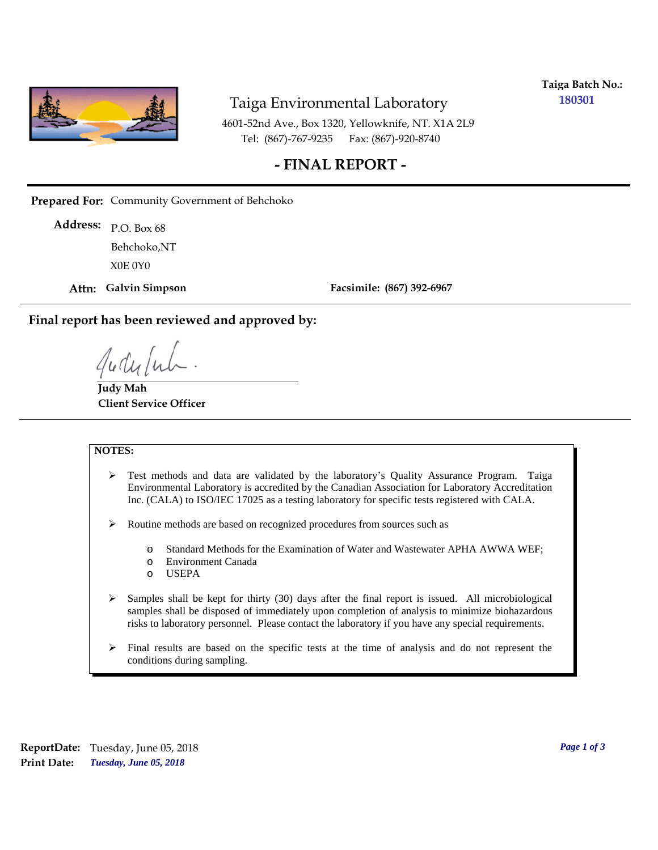

## Taiga Environmental Laboratory

**Taiga Batch No.: 180301**

4601-52nd Ave., Box 1320, Yellowknife, NT. X1A 2L9 Tel: (867)-767-9235 Fax: (867)-920-8740

## **- FINAL REPORT -**

**Prepared For:** Community Government of Behchoko

P.O. Box 68 **Address:** X0E 0Y0 Behchoko,NT

**Attn: Galvin Simpson**

**Facsimile: (867) 392-6967**

**Final report has been reviewed and approved by:**

**Judy Mah Client Service Officer**

#### **NOTES:**

- $\triangleright$  Test methods and data are validated by the laboratory's Quality Assurance Program. Taiga Environmental Laboratory is accredited by the Canadian Association for Laboratory Accreditation Inc. (CALA) to ISO/IEC 17025 as a testing laboratory for specific tests registered with CALA.
- Routine methods are based on recognized procedures from sources such as
	- o Standard Methods for the Examination of Water and Wastewater APHA AWWA WEF;
	- o Environment Canada
	- o USEPA
- $\triangleright$  Samples shall be kept for thirty (30) days after the final report is issued. All microbiological samples shall be disposed of immediately upon completion of analysis to minimize biohazardous risks to laboratory personnel. Please contact the laboratory if you have any special requirements.
- $\triangleright$  Final results are based on the specific tests at the time of analysis and do not represent the conditions during sampling.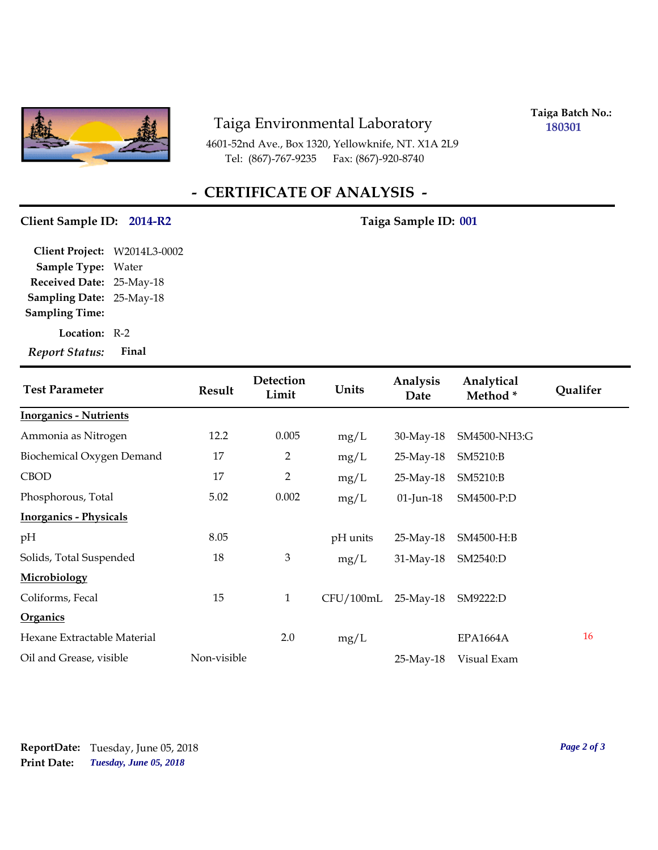

## Taiga Environmental Laboratory

4601-52nd Ave., Box 1320, Yellowknife, NT. X1A 2L9 Tel: (867)-767-9235 Fax: (867)-920-8740

**Taiga Batch No.: 180301**

# **- CERTIFICATE OF ANALYSIS -**

### Client Sample ID: 2014-R2 Taiga Sample ID: 001

**Location:** R-2 **Sampling Date:** 25-May-18 **Received Date:** 25-May-18 **Client Project:** W2014L3-0002 **Sample Type:** Water **Sampling Time:** *Report Status:* **Final**

| <b>Test Parameter</b>         | <b>Result</b> | Detection<br>Limit | Units     | Analysis<br>Date | Analytical<br>Method* | <b>Qualifer</b> |
|-------------------------------|---------------|--------------------|-----------|------------------|-----------------------|-----------------|
| <b>Inorganics - Nutrients</b> |               |                    |           |                  |                       |                 |
| Ammonia as Nitrogen           | 12.2          | 0.005              | mg/L      | 30-May-18        | SM4500-NH3:G          |                 |
| Biochemical Oxygen Demand     | 17            | $\overline{2}$     | mg/L      | 25-May-18        | SM5210:B              |                 |
| <b>CBOD</b>                   | 17            | 2                  | mg/L      | $25$ -May-18     | SM5210:B              |                 |
| Phosphorous, Total            | 5.02          | 0.002              | mg/L      | $01$ -Jun-18     | SM4500-P:D            |                 |
| <b>Inorganics - Physicals</b> |               |                    |           |                  |                       |                 |
| pH                            | 8.05          |                    | pH units  | 25-May-18        | SM4500-H:B            |                 |
| Solids, Total Suspended       | 18            | 3                  | mg/L      | 31-May-18        | SM2540:D              |                 |
| Microbiology                  |               |                    |           |                  |                       |                 |
| Coliforms, Fecal              | 15            | $\mathbf{1}$       | CFU/100mL | $25$ -May-18     | SM9222:D              |                 |
| <b>Organics</b>               |               |                    |           |                  |                       |                 |
| Hexane Extractable Material   |               | 2.0                | mg/L      |                  | <b>EPA1664A</b>       | 16              |
| Oil and Grease, visible       | Non-visible   |                    |           | 25-May-18        | Visual Exam           |                 |